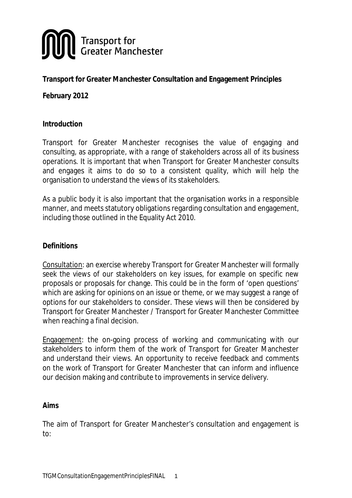

# **Transport for Greater Manchester Consultation and Engagement Principles**

**February 2012**

#### **Introduction**

Transport for Greater Manchester recognises the value of engaging and consulting, as appropriate, with a range of stakeholders across all of its business operations. It is important that when Transport for Greater Manchester consults and engages it aims to do so to a consistent quality, which will help the organisation to understand the views of its stakeholders.

As a public body it is also important that the organisation works in a responsible manner, and meets statutory obligations regarding consultation and engagement, including those outlined in the Equality Act 2010.

### **Definitions**

Consultation: an exercise whereby Transport for Greater Manchester will formally seek the views of our stakeholders on key issues, for example on specific new proposals or proposals for change. This could be in the form of 'open questions' which are asking for opinions on an issue or theme, or we may suggest a range of options for our stakeholders to consider. These views will then be considered by Transport for Greater Manchester / Transport for Greater Manchester Committee when reaching a final decision.

Engagement: the on-going process of working and communicating with our stakeholders to inform them of the work of Transport for Greater Manchester and understand their views. An opportunity to receive feedback and comments on the work of Transport for Greater Manchester that can inform and influence our decision making and contribute to improvements in service delivery.

#### **Aims**

The aim of Transport for Greater Manchester's consultation and engagement is to: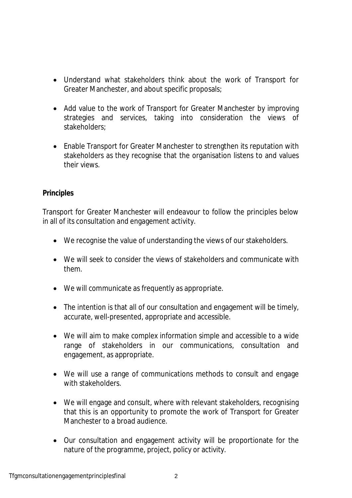- Understand what stakeholders think about the work of Transport for Greater Manchester, and about specific proposals;
- Add value to the work of Transport for Greater Manchester by improving strategies and services, taking into consideration the views of stakeholders;
- Enable Transport for Greater Manchester to strengthen its reputation with stakeholders as they recognise that the organisation listens to and values their views.

## **Principles**

Transport for Greater Manchester will endeavour to follow the principles below in all of its consultation and engagement activity.

- We recognise the value of understanding the views of our stakeholders.
- We will seek to consider the views of stakeholders and communicate with them.
- We will communicate as frequently as appropriate.
- The intention is that all of our consultation and engagement will be timely, accurate, well-presented, appropriate and accessible.
- We will aim to make complex information simple and accessible to a wide range of stakeholders in our communications, consultation and engagement, as appropriate.
- We will use a range of communications methods to consult and engage with stakeholders.
- We will engage and consult, where with relevant stakeholders, recognising that this is an opportunity to promote the work of Transport for Greater Manchester to a broad audience.
- Our consultation and engagement activity will be proportionate for the nature of the programme, project, policy or activity.